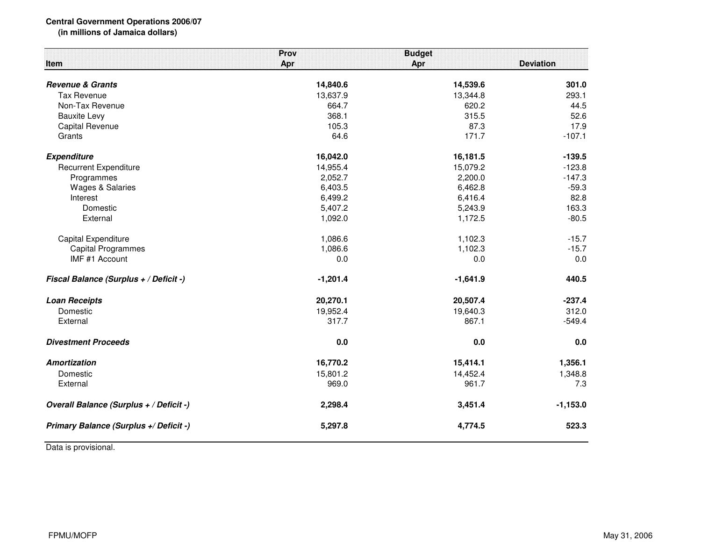## **Central Government Operations 2006/07**

**(in millions of Jamaica dollars)**

| Item                                    | Prov<br>Apr | <b>Budget</b><br>Apr | <b>Deviation</b> |
|-----------------------------------------|-------------|----------------------|------------------|
| <b>Revenue &amp; Grants</b>             | 14,840.6    | 14,539.6             | 301.0            |
| <b>Tax Revenue</b>                      | 13,637.9    | 13,344.8             | 293.1            |
| Non-Tax Revenue                         | 664.7       | 620.2                | 44.5             |
| <b>Bauxite Levy</b>                     | 368.1       | 315.5                | 52.6             |
| Capital Revenue                         | 105.3       | 87.3                 | 17.9             |
| Grants                                  | 64.6        | 171.7                | $-107.1$         |
| <b>Expenditure</b>                      | 16,042.0    | 16,181.5             | $-139.5$         |
| <b>Recurrent Expenditure</b>            | 14,955.4    | 15,079.2             | $-123.8$         |
| Programmes                              | 2,052.7     | 2,200.0              | $-147.3$         |
| <b>Wages &amp; Salaries</b>             | 6,403.5     | 6,462.8              | $-59.3$          |
| Interest                                | 6,499.2     | 6,416.4              | 82.8             |
| Domestic                                | 5,407.2     | 5,243.9              | 163.3            |
| External                                | 1,092.0     | 1,172.5              | $-80.5$          |
| Capital Expenditure                     | 1,086.6     | 1,102.3              | $-15.7$          |
| <b>Capital Programmes</b>               | 1,086.6     | 1,102.3              | $-15.7$          |
| IMF #1 Account                          | 0.0         | 0.0                  | 0.0              |
| Fiscal Balance (Surplus + / Deficit -)  | $-1,201.4$  | $-1,641.9$           | 440.5            |
| <b>Loan Receipts</b>                    | 20,270.1    | 20,507.4             | $-237.4$         |
| Domestic                                | 19,952.4    | 19,640.3             | 312.0            |
| External                                | 317.7       | 867.1                | $-549.4$         |
| <b>Divestment Proceeds</b>              | 0.0         | 0.0                  | 0.0              |
| Amortization                            | 16,770.2    | 15,414.1             | 1,356.1          |
| Domestic                                | 15,801.2    | 14,452.4             | 1,348.8          |
| External                                | 969.0       | 961.7                | 7.3              |
| Overall Balance (Surplus + / Deficit -) | 2,298.4     | 3,451.4              | $-1,153.0$       |
| Primary Balance (Surplus +/ Deficit -)  | 5,297.8     | 4,774.5              | 523.3            |

Data is provisional.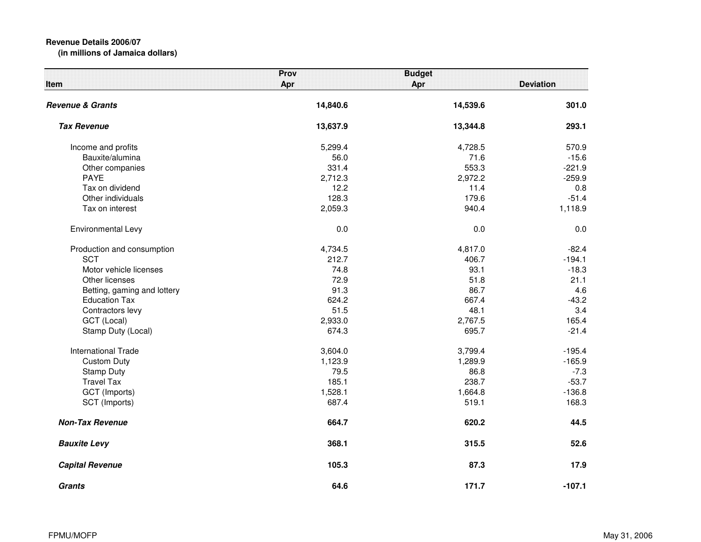## **Revenue Details 2006/07(in millions of Jamaica dollars)**

| <b>Item</b>                 | Prov<br>Apr | <b>Budget</b><br>Apr | <b>Deviation</b> |
|-----------------------------|-------------|----------------------|------------------|
| <b>Revenue &amp; Grants</b> | 14,840.6    | 14,539.6             | 301.0            |
| <b>Tax Revenue</b>          | 13,637.9    | 13,344.8             | 293.1            |
| Income and profits          | 5,299.4     | 4,728.5              | 570.9            |
| Bauxite/alumina             | 56.0        | 71.6                 | $-15.6$          |
| Other companies             | 331.4       | 553.3                | $-221.9$         |
| <b>PAYE</b>                 | 2,712.3     | 2,972.2              | $-259.9$         |
| Tax on dividend             | 12.2        | 11.4                 | 0.8              |
| Other individuals           | 128.3       | 179.6                | $-51.4$          |
| Tax on interest             | 2,059.3     | 940.4                | 1,118.9          |
| Environmental Levy          | 0.0         | 0.0                  | 0.0              |
| Production and consumption  | 4,734.5     | 4,817.0              | $-82.4$          |
| <b>SCT</b>                  | 212.7       | 406.7                | $-194.1$         |
| Motor vehicle licenses      | 74.8        | 93.1                 | $-18.3$          |
| Other licenses              | 72.9        | 51.8                 | 21.1             |
| Betting, gaming and lottery | 91.3        | 86.7                 | 4.6              |
| <b>Education Tax</b>        | 624.2       | 667.4                | $-43.2$          |
| Contractors levy            | 51.5        | 48.1                 | 3.4              |
| GCT (Local)                 | 2,933.0     | 2,767.5              | 165.4            |
| Stamp Duty (Local)          | 674.3       | 695.7                | $-21.4$          |
| <b>International Trade</b>  | 3,604.0     | 3,799.4              | $-195.4$         |
| <b>Custom Duty</b>          | 1,123.9     | 1,289.9              | $-165.9$         |
| <b>Stamp Duty</b>           | 79.5        | 86.8                 | $-7.3$           |
| <b>Travel Tax</b>           | 185.1       | 238.7                | $-53.7$          |
| GCT (Imports)               | 1,528.1     | 1,664.8              | $-136.8$         |
| SCT (Imports)               | 687.4       | 519.1                | 168.3            |
| <b>Non-Tax Revenue</b>      | 664.7       | 620.2                | 44.5             |
| <b>Bauxite Levy</b>         | 368.1       | 315.5                | 52.6             |
| <b>Capital Revenue</b>      | 105.3       | 87.3                 | 17.9             |
| <b>Grants</b>               | 64.6        | 171.7                | $-107.1$         |